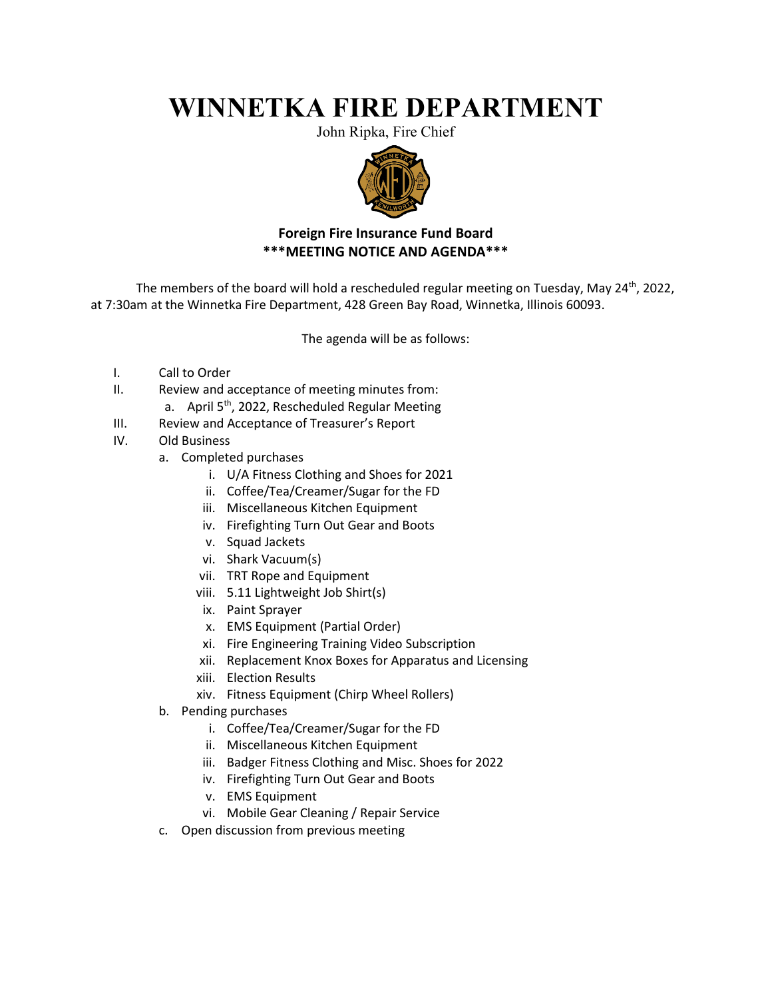## **WINNETKA FIRE DEPARTMENT**

John Ripka, Fire Chief



## **Foreign Fire Insurance Fund Board \*\*\*MEETING NOTICE AND AGENDA\*\*\***

The members of the board will hold a rescheduled regular meeting on Tuesday, May  $24<sup>th</sup>$ , 2022, at 7:30am at the Winnetka Fire Department, 428 Green Bay Road, Winnetka, Illinois 60093.

The agenda will be as follows:

- I. Call to Order
- II. Review and acceptance of meeting minutes from:
	- a. April 5<sup>th</sup>, 2022, Rescheduled Regular Meeting
- III. Review and Acceptance of Treasurer's Report
- IV. Old Business
	- a. Completed purchases
		- i. U/A Fitness Clothing and Shoes for 2021
		- ii. Coffee/Tea/Creamer/Sugar for the FD
		- iii. Miscellaneous Kitchen Equipment
		- iv. Firefighting Turn Out Gear and Boots
		- v. Squad Jackets
		- vi. Shark Vacuum(s)
		- vii. TRT Rope and Equipment
		- viii. 5.11 Lightweight Job Shirt(s)
		- ix. Paint Sprayer
		- x. EMS Equipment (Partial Order)
		- xi. Fire Engineering Training Video Subscription
		- xii. Replacement Knox Boxes for Apparatus and Licensing
		- xiii. Election Results
		- xiv. Fitness Equipment (Chirp Wheel Rollers)
	- b. Pending purchases
		- i. Coffee/Tea/Creamer/Sugar for the FD
		- ii. Miscellaneous Kitchen Equipment
		- iii. Badger Fitness Clothing and Misc. Shoes for 2022
		- iv. Firefighting Turn Out Gear and Boots
		- v. EMS Equipment
		- vi. Mobile Gear Cleaning / Repair Service
	- c. Open discussion from previous meeting